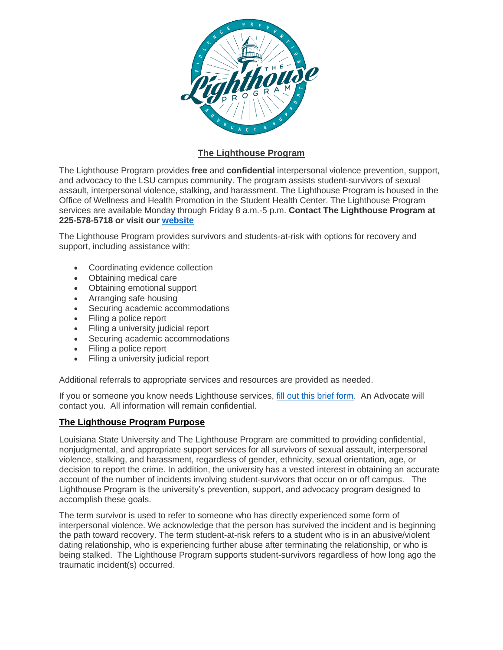

# **The Lighthouse Program**

 The Lighthouse Program provides **free** and **confidential** interpersonal violence prevention, support, and advocacy to the LSU campus community. The program assists student-survivors of sexual  **225-578-5718 or visit our [website](https://lsu.edu/shc/wellness/the-lighthouse-program/index.php)**  assault, interpersonal violence, stalking, and harassment. The Lighthouse Program is housed in the Office of Wellness and Health Promotion in the Student Health Center. The Lighthouse Program services are available Monday through Friday 8 a.m.-5 p.m. **Contact The Lighthouse Program at** 

The Lighthouse Program provides survivors and students-at-risk with options for recovery and support, including assistance with:

- Coordinating evidence collection
- Obtaining medical care
- Obtaining emotional support
- Arranging safe housing
- Securing academic accommodations
- Filing a police report
- Filing a university judicial report
- Securing academic accommodations
- Filing a police report
- Filing a university judicial report

Additional referrals to appropriate services and resources are provided as needed.

If you or someone you know needs Lighthouse services, [fill out this brief form.](https://lsushc.wufoo.com/forms/lighthouse-contact-form/) An Advocate will contact you. All information will remain confidential.

## **The Lighthouse Program Purpose**

 nonjudgmental, and appropriate support services for all survivors of sexual assault, interpersonal violence, stalking, and harassment, regardless of gender, ethnicity, sexual orientation, age, or decision to report the crime. In addition, the university has a vested interest in obtaining an accurate account of the number of incidents involving student-survivors that occur on or off campus. The Lighthouse Program is the university's prevention, support, and advocacy program designed to Louisiana State University and The Lighthouse Program are committed to providing confidential, accomplish these goals.

 The term survivor is used to refer to someone who has directly experienced some form of interpersonal violence. We acknowledge that the person has survived the incident and is beginning the path toward recovery. The term student-at-risk refers to a student who is in an abusive/violent dating relationship, who is experiencing further abuse after terminating the relationship, or who is being stalked. The Lighthouse Program supports student-survivors regardless of how long ago the traumatic incident(s) occurred.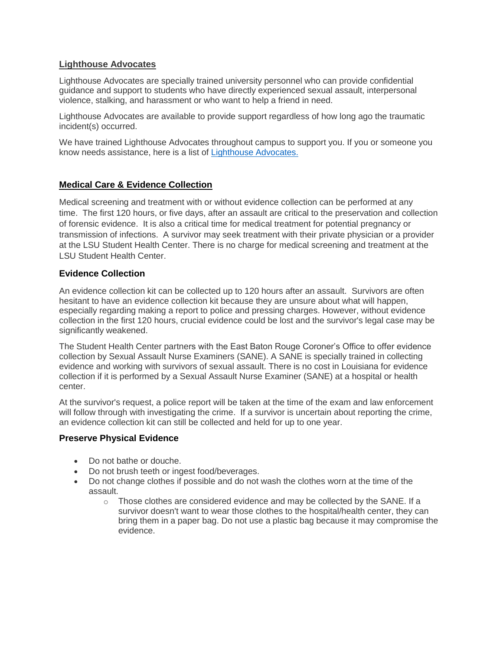## **Lighthouse Advocates**

 Lighthouse Advocates are specially trained university personnel who can provide confidential guidance and support to students who have directly experienced sexual assault, interpersonal violence, stalking, and harassment or who want to help a friend in need.

 Lighthouse Advocates are available to provide support regardless of how long ago the traumatic incident(s) occurred.

 We have trained Lighthouse Advocates throughout campus to support you. If you or someone you know needs assistance, here is a list of Lighthouse Advocates.

# **Medical Care & Evidence Collection**

 Medical screening and treatment with or without evidence collection can be performed at any time. The first 120 hours, or five days, after an assault are critical to the preservation and collection of forensic evidence. It is also a critical time for medical treatment for potential pregnancy or transmission of infections. A survivor may seek treatment with their private physician or a provider at the LSU Student Health Center. There is no charge for medical screening and treatment at the LSU Student Health Center.

#### **Evidence Collection**

 hesitant to have an evidence collection kit because they are unsure about what will happen, especially regarding making a report to police and pressing charges. However, without evidence collection in the first 120 hours, crucial evidence could be lost and the survivor's legal case may be An evidence collection kit can be collected up to 120 hours after an assault. Survivors are often significantly weakened.

 collection by Sexual Assault Nurse Examiners (SANE). A SANE is specially trained in collecting evidence and working with survivors of sexual assault. There is no cost in Louisiana for evidence collection if it is performed by a Sexual Assault Nurse Examiner (SANE) at a hospital or health The Student Health Center partners with the East Baton Rouge Coroner's Office to offer evidence center.

 At the survivor's request, a police report will be taken at the time of the exam and law enforcement will follow through with investigating the crime. If a survivor is uncertain about reporting the crime, an evidence collection kit can still be collected and held for up to one year.

#### **Preserve Physical Evidence**

- Do not bathe or douche.
- Do not brush teeth or ingest food/beverages.
- • Do not change clothes if possible and do not wash the clothes worn at the time of the assault.
	- $\circ$  Those clothes are considered evidence and may be collected by the SANE. If a survivor doesn't want to wear those clothes to the hospital/health center, they can bring them in a paper bag. Do not use a plastic bag because it may compromise the evidence.